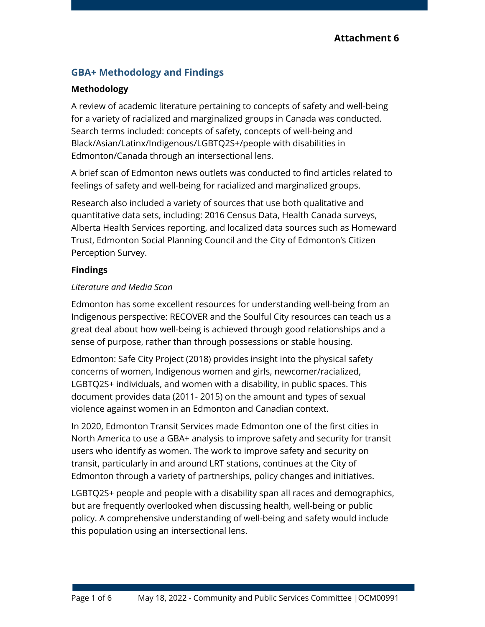# **GBA+ Methodology and Findings**

### **Methodology**

A review of academic literature pertaining to concepts of safety and well-being for a variety of racialized and marginalized groups in Canada was conducted. Search terms included: concepts of safety, concepts of well-being and Black/Asian/Latinx/Indigenous/LGBTQ2S+/people with disabilities in Edmonton/Canada through an intersectional lens.

A brief scan of Edmonton news outlets was conducted to find articles related to feelings of safety and well-being for racialized and marginalized groups.

Research also included a variety of sources that use both qualitative and quantitative data sets, including: 2016 Census Data, Health Canada surveys, Alberta Health Services reporting, and localized data sources such as Homeward Trust, Edmonton Social Planning Council and the City of Edmonton's Citizen Perception Survey.

### **Findings**

### *Literature and Media Scan*

Edmonton has some excellent resources for understanding well-being from an Indigenous perspective: RECOVER and the Soulful City resources can teach us a great deal about how well-being is achieved through good relationships and a sense of purpose, rather than through possessions or stable housing.

Edmonton: Safe City Project (2018) provides insight into the physical safety concerns of women, Indigenous women and girls, newcomer/racialized, LGBTQ2S+ individuals, and women with a disability, in public spaces. This document provides data (2011- 2015) on the amount and types of sexual violence against women in an Edmonton and Canadian context.

In 2020, Edmonton Transit Services made Edmonton one of the first cities in North America to use a GBA+ analysis to improve safety and security for transit users who identify as women. The work to improve safety and security on transit, particularly in and around LRT stations, continues at the City of Edmonton through a variety of partnerships, policy changes and initiatives.

LGBTQ2S+ people and people with a disability span all races and demographics, but are frequently overlooked when discussing health, well-being or public policy. A comprehensive understanding of well-being and safety would include this population using an intersectional lens.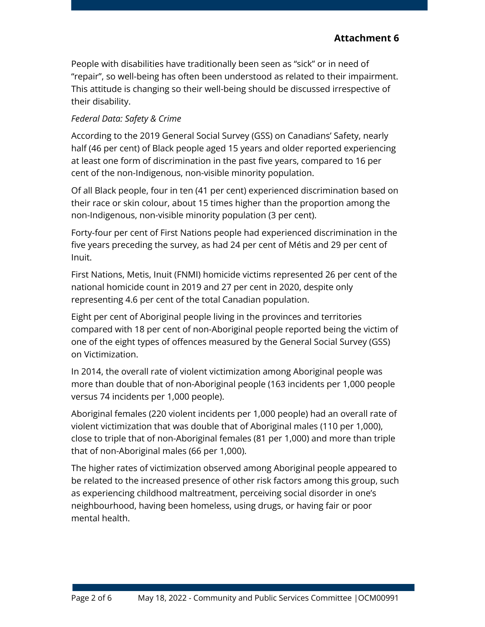People with disabilities have traditionally been seen as "sick" or in need of "repair", so well-being has often been understood as related to their impairment. This attitude is changing so their well-being should be discussed irrespective of their disability.

#### *Federal Data: Safety & Crime*

According to the 2019 General Social Survey (GSS) on Canadians' Safety, nearly half (46 per cent) of Black people aged 15 years and older reported experiencing at least one form of discrimination in the past five years, compared to 16 per cent of the non-Indigenous, non-visible minority population.

Of all Black people, four in ten (41 per cent) experienced discrimination based on their race or skin colour, about 15 times higher than the proportion among the non-Indigenous, non-visible minority population (3 per cent).

Forty-four per cent of First Nations people had experienced discrimination in the five years preceding the survey, as had 24 per cent of Métis and 29 per cent of Inuit.

First Nations, Metis, Inuit (FNMI) homicide victims represented 26 per cent of the national homicide count in 2019 and 27 per cent in 2020, despite only representing 4.6 per cent of the total Canadian population.

Eight per cent of Aboriginal people living in the provinces and territories compared with 18 per cent of non-Aboriginal people reported being the victim of one of the eight types of offences measured by the General Social Survey (GSS) on Victimization.

In 2014, the overall rate of violent victimization among Aboriginal people was more than double that of non-Aboriginal people (163 incidents per 1,000 people versus 74 incidents per 1,000 people).

Aboriginal females (220 violent incidents per 1,000 people) had an overall rate of violent victimization that was double that of Aboriginal males (110 per 1,000), close to triple that of non-Aboriginal females (81 per 1,000) and more than triple that of non-Aboriginal males (66 per 1,000).

The higher rates of victimization observed among Aboriginal people appeared to be related to the increased presence of other risk factors among this group, such as experiencing childhood maltreatment, perceiving social disorder in one's neighbourhood, having been homeless, using drugs, or having fair or poor mental health.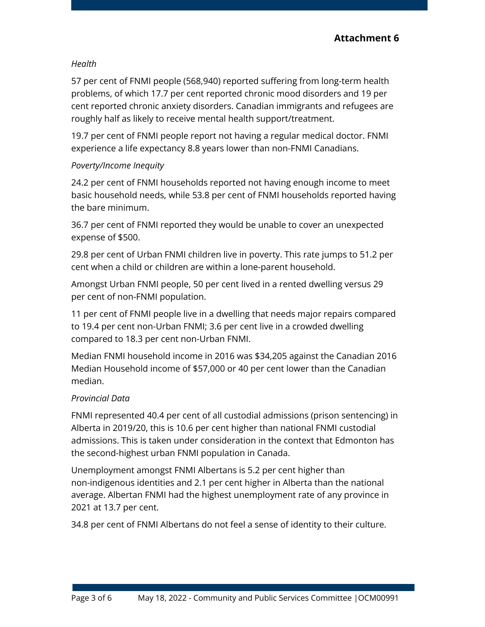### *Health*

57 per cent of FNMI people (568,940) reported suffering from long-term health problems, of which 17.7 per cent reported chronic mood disorders and 19 per cent reported chronic anxiety disorders. Canadian immigrants and refugees are roughly half as likely to receive mental health support/treatment.

19.7 per cent of FNMI people report not having a regular medical doctor. FNMI experience a life expectancy 8.8 years lower than non-FNMI Canadians.

## *Poverty/Income Inequity*

24.2 per cent of FNMI households reported not having enough income to meet basic household needs, while 53.8 per cent of FNMI households reported having the bare minimum.

36.7 per cent of FNMI reported they would be unable to cover an unexpected expense of \$500.

29.8 per cent of Urban FNMI children live in poverty. This rate jumps to 51.2 per cent when a child or children are within a lone-parent household.

Amongst Urban FNMI people, 50 per cent lived in a rented dwelling versus 29 per cent of non-FNMI population.

11 per cent of FNMI people live in a dwelling that needs major repairs compared to 19.4 per cent non-Urban FNMI; 3.6 per cent live in a crowded dwelling compared to 18.3 per cent non-Urban FNMI.

Median FNMI household income in 2016 was \$34,205 against the Canadian 2016 Median Household income of \$57,000 or 40 per cent lower than the Canadian median.

### *Provincial Data*

FNMI represented 40.4 per cent of all custodial admissions (prison sentencing) in Alberta in 2019/20, this is 10.6 per cent higher than national FNMI custodial admissions. This is taken under consideration in the context that Edmonton has the second-highest urban FNMI population in Canada.

Unemployment amongst FNMI Albertans is 5.2 per cent higher than non-indigenous identities and 2.1 per cent higher in Alberta than the national average. Albertan FNMI had the highest unemployment rate of any province in 2021 at 13.7 per cent.

34.8 per cent of FNMI Albertans do not feel a sense of identity to their culture.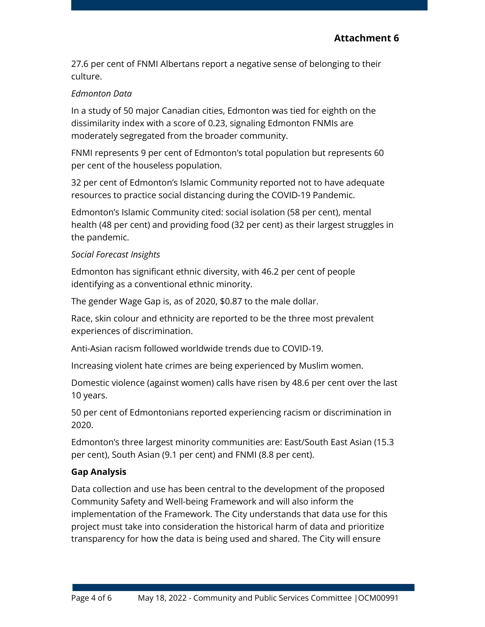27.6 per cent of FNMI Albertans report a negative sense of belonging to their culture.

## *Edmonton Data*

In a study of 50 major Canadian cities, Edmonton was tied for eighth on the dissimilarity index with a score of 0.23, signaling Edmonton FNMIs are moderately segregated from the broader community.

FNMI represents 9 per cent of Edmonton's total population but represents 60 per cent of the houseless population.

32 per cent of Edmonton's Islamic Community reported not to have adequate resources to practice social distancing during the COVID-19 Pandemic.

Edmonton's Islamic Community cited: social isolation (58 per cent), mental health (48 per cent) and providing food (32 per cent) as their largest struggles in the pandemic.

### *Social Forecast Insights*

Edmonton has significant ethnic diversity, with 46.2 per cent of people identifying as a conventional ethnic minority.

The gender Wage Gap is, as of 2020, \$0.87 to the male dollar.

Race, skin colour and ethnicity are reported to be the three most prevalent experiences of discrimination.

Anti-Asian racism followed worldwide trends due to COVID-19.

Increasing violent hate crimes are being experienced by Muslim women.

Domestic violence (against women) calls have risen by 48.6 per cent over the last 10 years.

50 per cent of Edmontonians reported experiencing racism or discrimination in 2020.

Edmonton's three largest minority communities are: East/South East Asian (15.3 per cent), South Asian (9.1 per cent) and FNMI (8.8 per cent).

### **Gap Analysis**

Data collection and use has been central to the development of the proposed Community Safety and Well-being Framework and will also inform the implementation of the Framework. The City understands that data use for this project must take into consideration the historical harm of data and prioritize transparency for how the data is being used and shared. The City will ensure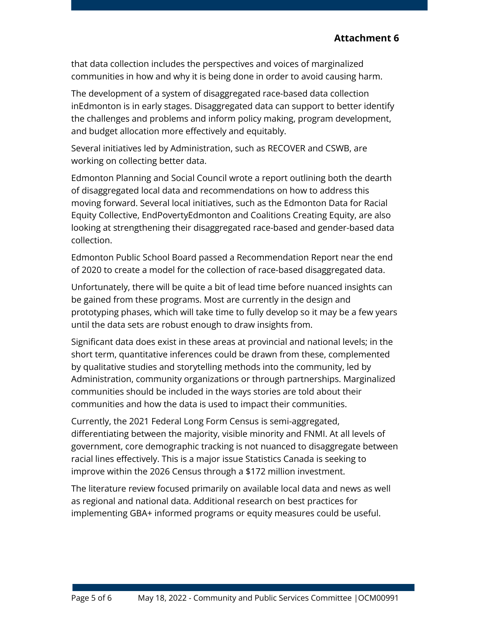that data collection includes the perspectives and voices of marginalized communities in how and why it is being done in order to avoid causing harm.

The development of a system of disaggregated race-based data collection inEdmonton is in early stages. Disaggregated data can support to better identify the challenges and problems and inform policy making, program development, and budget allocation more effectively and equitably.

Several initiatives led by Administration, such as RECOVER and CSWB, are working on collecting better data.

Edmonton Planning and Social Council wrote a report outlining both the dearth of disaggregated local data and recommendations on how to address this moving forward. Several local initiatives, such as the Edmonton Data for Racial Equity Collective, EndPovertyEdmonton and Coalitions Creating Equity, are also looking at strengthening their disaggregated race-based and gender-based data collection.

Edmonton Public School Board passed a Recommendation Report near the end of 2020 to create a model for the collection of race-based disaggregated data.

Unfortunately, there will be quite a bit of lead time before nuanced insights can be gained from these programs. Most are currently in the design and prototyping phases, which will take time to fully develop so it may be a few years until the data sets are robust enough to draw insights from.

Significant data does exist in these areas at provincial and national levels; in the short term, quantitative inferences could be drawn from these, complemented by qualitative studies and storytelling methods into the community, led by Administration, community organizations or through partnerships. Marginalized communities should be included in the ways stories are told about their communities and how the data is used to impact their communities.

Currently, the 2021 Federal Long Form Census is semi-aggregated, differentiating between the majority, visible minority and FNMI. At all levels of government, core demographic tracking is not nuanced to disaggregate between racial lines effectively. This is a major issue Statistics Canada is seeking to improve within the 2026 Census through a \$172 million investment.

The literature review focused primarily on available local data and news as well as regional and national data. Additional research on best practices for implementing GBA+ informed programs or equity measures could be useful.